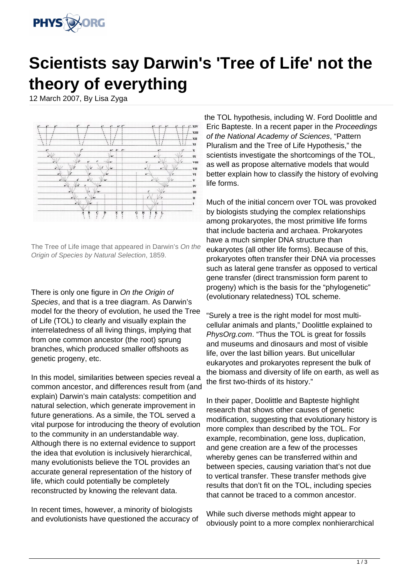

## **Scientists say Darwin's 'Tree of Life' not the theory of everything**

12 March 2007, By Lisa Zyga



The Tree of Life image that appeared in Darwin's On the Origin of Species by Natural Selection, 1859.

There is only one figure in On the Origin of Species, and that is a tree diagram. As Darwin's model for the theory of evolution, he used the Tree of Life (TOL) to clearly and visually explain the interrelatedness of all living things, implying that from one common ancestor (the root) sprung branches, which produced smaller offshoots as genetic progeny, etc.

In this model, similarities between species reveal a common ancestor, and differences result from (and explain) Darwin's main catalysts: competition and natural selection, which generate improvement in future generations. As a simile, the TOL served a vital purpose for introducing the theory of evolution to the community in an understandable way. Although there is no external evidence to support the idea that evolution is inclusively hierarchical, many evolutionists believe the TOL provides an accurate general representation of the history of life, which could potentially be completely reconstructed by knowing the relevant data.

In recent times, however, a minority of biologists and evolutionists have questioned the accuracy of the TOL hypothesis, including W. Ford Doolittle and Eric Bapteste. In a recent paper in the Proceedings of the National Academy of Sciences, "Pattern Pluralism and the Tree of Life Hypothesis," the scientists investigate the shortcomings of the TOL, as well as propose alternative models that would better explain how to classify the history of evolving life forms.

Much of the initial concern over TOL was provoked by biologists studying the complex relationships among prokaryotes, the most primitive life forms that include bacteria and archaea. Prokaryotes have a much simpler DNA structure than eukaryotes (all other life forms). Because of this, prokaryotes often transfer their DNA via processes such as lateral gene transfer as opposed to vertical gene transfer (direct transmission form parent to progeny) which is the basis for the "phylogenetic" (evolutionary relatedness) TOL scheme.

"Surely a tree is the right model for most multicellular animals and plants," Doolittle explained to PhysOrg.com. "Thus the TOL is great for fossils and museums and dinosaurs and most of visible life, over the last billion years. But unicellular eukaryotes and prokaryotes represent the bulk of the biomass and diversity of life on earth, as well as the first two-thirds of its history."

In their paper, Doolittle and Bapteste highlight research that shows other causes of genetic modification, suggesting that evolutionary history is more complex than described by the TOL. For example, recombination, gene loss, duplication, and gene creation are a few of the processes whereby genes can be transferred within and between species, causing variation that's not due to vertical transfer. These transfer methods give results that don't fit on the TOL, including species that cannot be traced to a common ancestor.

While such diverse methods might appear to obviously point to a more complex nonhierarchical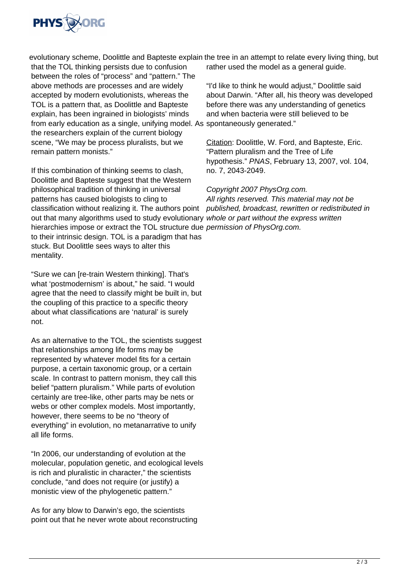

that the TOL thinking persists due to confusion between the roles of "process" and "pattern." The above methods are processes and are widely accepted by modern evolutionists, whereas the TOL is a pattern that, as Doolittle and Bapteste explain, has been ingrained in biologists' minds from early education as a single, unifying model. As spontaneously generated." the researchers explain of the current biology scene, "We may be process pluralists, but we remain pattern monists."

If this combination of thinking seems to clash, Doolittle and Bapteste suggest that the Western philosophical tradition of thinking in universal patterns has caused biologists to cling to classification without realizing it. The authors point out that many algorithms used to study evolutionary whole or part without the express written hierarchies impose or extract the TOL structure due *permission of PhysOrg.com.* to their intrinsic design. TOL is a paradigm that has stuck. But Doolittle sees ways to alter this mentality.

"Sure we can [re-train Western thinking]. That's what 'postmodernism' is about," he said. "I would agree that the need to classify might be built in, but the coupling of this practice to a specific theory about what classifications are 'natural' is surely not.

As an alternative to the TOL, the scientists suggest that relationships among life forms may be represented by whatever model fits for a certain purpose, a certain taxonomic group, or a certain scale. In contrast to pattern monism, they call this belief "pattern pluralism." While parts of evolution certainly are tree-like, other parts may be nets or webs or other complex models. Most importantly, however, there seems to be no "theory of everything" in evolution, no metanarrative to unify all life forms.

"In 2006, our understanding of evolution at the molecular, population genetic, and ecological levels is rich and pluralistic in character," the scientists conclude, "and does not require (or justify) a monistic view of the phylogenetic pattern."

As for any blow to Darwin's ego, the scientists point out that he never wrote about reconstructing

evolutionary scheme, Doolittle and Bapteste explain the tree in an attempt to relate every living thing, but rather used the model as a general guide.

> "I'd like to think he would adjust," Doolittle said about Darwin. "After all, his theory was developed before there was any understanding of genetics and when bacteria were still believed to be

Citation: Doolittle, W. Ford, and Bapteste, Eric. "Pattern pluralism and the Tree of Life hypothesis." PNAS, February 13, 2007, vol. 104, no. 7, 2043-2049.

## Copyright 2007 PhysOrg.com.

All rights reserved. This material may not be published, broadcast, rewritten or redistributed in